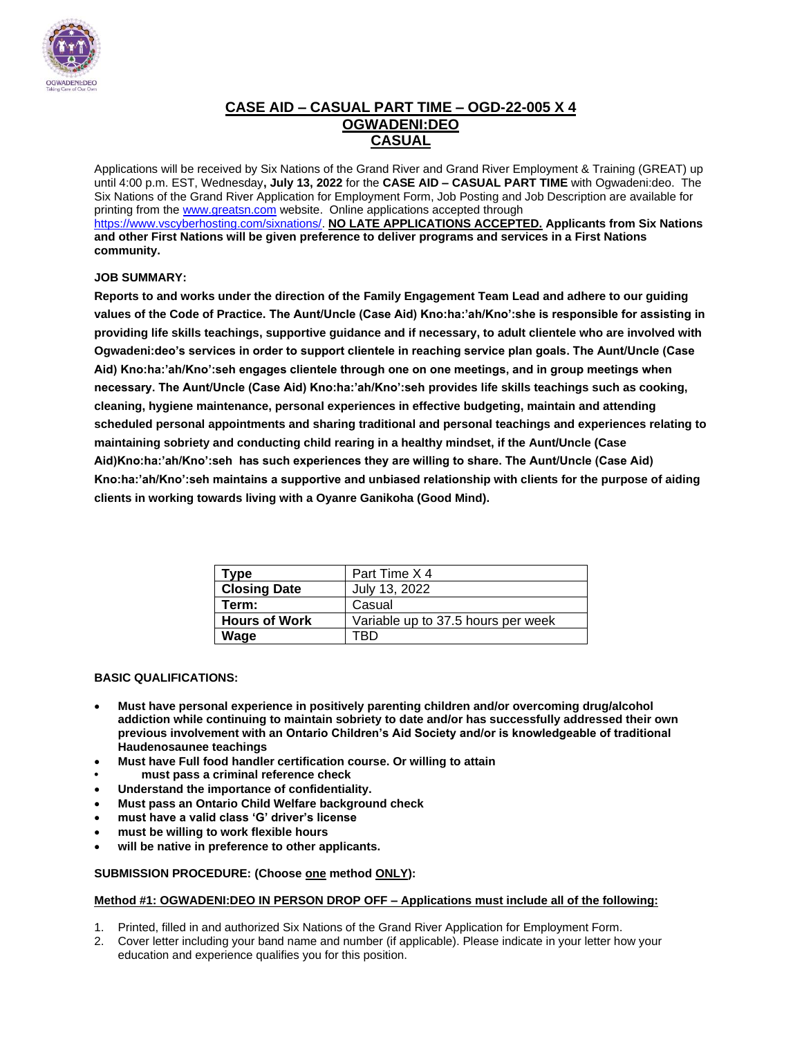

### **CASE AID – CASUAL PART TIME – OGD-22-005 X 4 OGWADENI:DEO CASUAL**

Applications will be received by Six Nations of the Grand River and Grand River Employment & Training (GREAT) up until 4:00 p.m. EST, Wednesday**, July 13, 2022** for the **CASE AID – CASUAL PART TIME** with Ogwadeni:deo. The Six Nations of the Grand River Application for Employment Form, Job Posting and Job Description are available for printing from th[e www.greatsn.com](http://www.greatsn.com/) website. Online applications accepted through [https://www.vscyberhosting.com/sixnations/.](https://www.vscyberhosting.com/sixnations/) **NO LATE APPLICATIONS ACCEPTED. Applicants from Six Nations and other First Nations will be given preference to deliver programs and services in a First Nations community.**

#### **JOB SUMMARY:**

**Reports to and works under the direction of the Family Engagement Team Lead and adhere to our guiding values of the Code of Practice. The Aunt/Uncle (Case Aid) Kno:ha:'ah/Kno':she is responsible for assisting in providing life skills teachings, supportive guidance and if necessary, to adult clientele who are involved with Ogwadeni:deo's services in order to support clientele in reaching service plan goals. The Aunt/Uncle (Case Aid) Kno:ha:'ah/Kno':seh engages clientele through one on one meetings, and in group meetings when necessary. The Aunt/Uncle (Case Aid) Kno:ha:'ah/Kno':seh provides life skills teachings such as cooking, cleaning, hygiene maintenance, personal experiences in effective budgeting, maintain and attending scheduled personal appointments and sharing traditional and personal teachings and experiences relating to maintaining sobriety and conducting child rearing in a healthy mindset, if the Aunt/Uncle (Case Aid)Kno:ha:'ah/Kno':seh has such experiences they are willing to share. The Aunt/Uncle (Case Aid) Kno:ha:'ah/Kno':seh maintains a supportive and unbiased relationship with clients for the purpose of aiding clients in working towards living with a Oyanre Ganikoha (Good Mind).** 

| Type                 | Part Time X 4                      |
|----------------------|------------------------------------|
| <b>Closing Date</b>  | July 13, 2022                      |
| Term:                | Casual                             |
| <b>Hours of Work</b> | Variable up to 37.5 hours per week |
| Wage                 | FRD                                |

#### **BASIC QUALIFICATIONS:**

- **Must have personal experience in positively parenting children and/or overcoming drug/alcohol addiction while continuing to maintain sobriety to date and/or has successfully addressed their own previous involvement with an Ontario Children's Aid Society and/or is knowledgeable of traditional Haudenosaunee teachings**
- **Must have Full food handler certification course. Or willing to attain**
- **• must pass a criminal reference check**
- **Understand the importance of confidentiality.**
- **Must pass an Ontario Child Welfare background check**
- **must have a valid class 'G' driver's license**
- **must be willing to work flexible hours**
- **will be native in preference to other applicants.**

#### **SUBMISSION PROCEDURE: (Choose one method ONLY):**

#### **Method #1: OGWADENI:DEO IN PERSON DROP OFF – Applications must include all of the following:**

- 1. Printed, filled in and authorized Six Nations of the Grand River Application for Employment Form.
- 2. Cover letter including your band name and number (if applicable). Please indicate in your letter how your education and experience qualifies you for this position.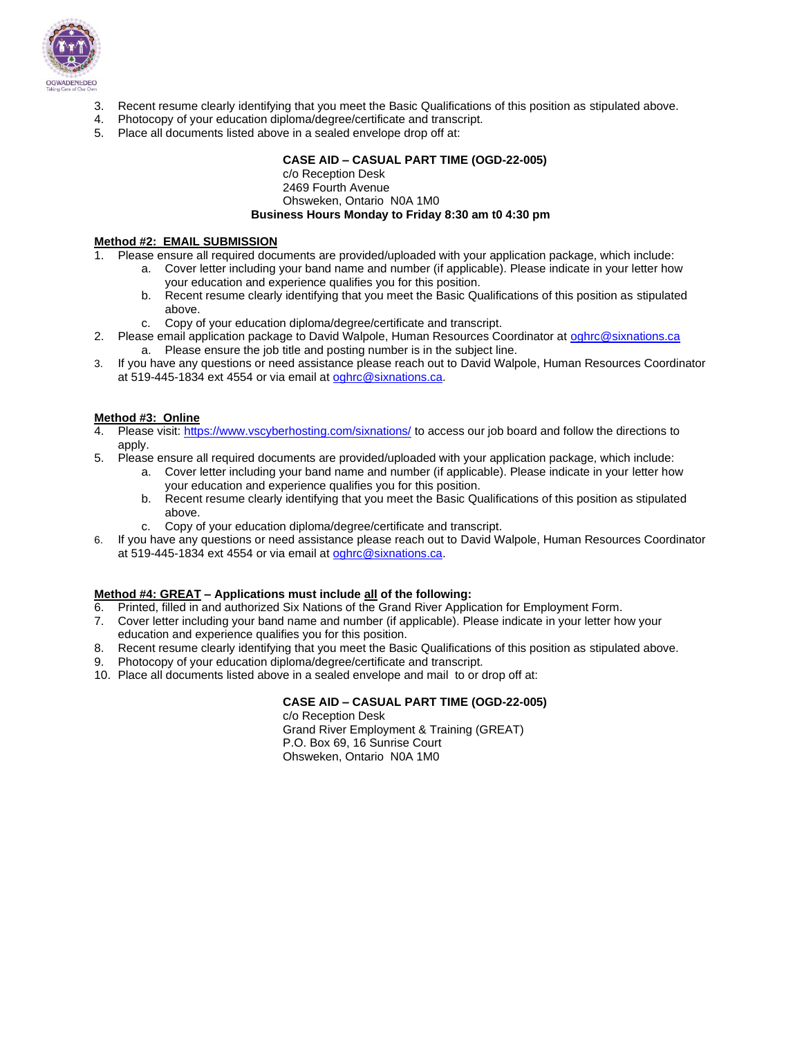

- 3. Recent resume clearly identifying that you meet the Basic Qualifications of this position as stipulated above.
- 4. Photocopy of your education diploma/degree/certificate and transcript.
- 5. Place all documents listed above in a sealed envelope drop off at:

#### **CASE AID – CASUAL PART TIME (OGD-22-005)**

c/o Reception Desk 2469 Fourth Avenue Ohsweken, Ontario N0A 1M0

#### **Business Hours Monday to Friday 8:30 am t0 4:30 pm**

#### **Method #2: EMAIL SUBMISSION**

1. Please ensure all required documents are provided/uploaded with your application package, which include:

- a. Cover letter including your band name and number (if applicable). Please indicate in your letter how your education and experience qualifies you for this position.
	- b. Recent resume clearly identifying that you meet the Basic Qualifications of this position as stipulated above.
	- c. Copy of your education diploma/degree/certificate and transcript.
- 2. Please email application package to David Walpole, Human Resources Coordinator at [oghrc@sixnations.ca](mailto:oghrc@sixnations.ca) a. Please ensure the job title and posting number is in the subject line.
- 3. If you have any questions or need assistance please reach out to David Walpole, Human Resources Coordinator at 519-445-1834 ext 4554 or via email at [oghrc@sixnations.ca.](mailto:oghrc@sixnations.ca)

#### **Method #3: Online**

- 4. Please visit[: https://www.vscyberhosting.com/sixnations/](https://www.vscyberhosting.com/sixnations/) to access our job board and follow the directions to apply.
- 5. Please ensure all required documents are provided/uploaded with your application package, which include:
	- a. Cover letter including your band name and number (if applicable). Please indicate in your letter how your education and experience qualifies you for this position.
	- b. Recent resume clearly identifying that you meet the Basic Qualifications of this position as stipulated above.
	- c. Copy of your education diploma/degree/certificate and transcript.
- 6. If you have any questions or need assistance please reach out to David Walpole, Human Resources Coordinator at 519-445-1834 ext 4554 or via email at [oghrc@sixnations.ca.](mailto:oghrc@sixnations.ca)

#### **Method #4: GREAT – Applications must include all of the following:**

- 6. Printed, filled in and authorized Six Nations of the Grand River Application for Employment Form.
- 7. Cover letter including your band name and number (if applicable). Please indicate in your letter how your education and experience qualifies you for this position.
- 8. Recent resume clearly identifying that you meet the Basic Qualifications of this position as stipulated above.
- 9. Photocopy of your education diploma/degree/certificate and transcript.
- 10. Place all documents listed above in a sealed envelope and mail to or drop off at:

#### **CASE AID – CASUAL PART TIME (OGD-22-005)**

c/o Reception Desk Grand River Employment & Training (GREAT) P.O. Box 69, 16 Sunrise Court Ohsweken, Ontario N0A 1M0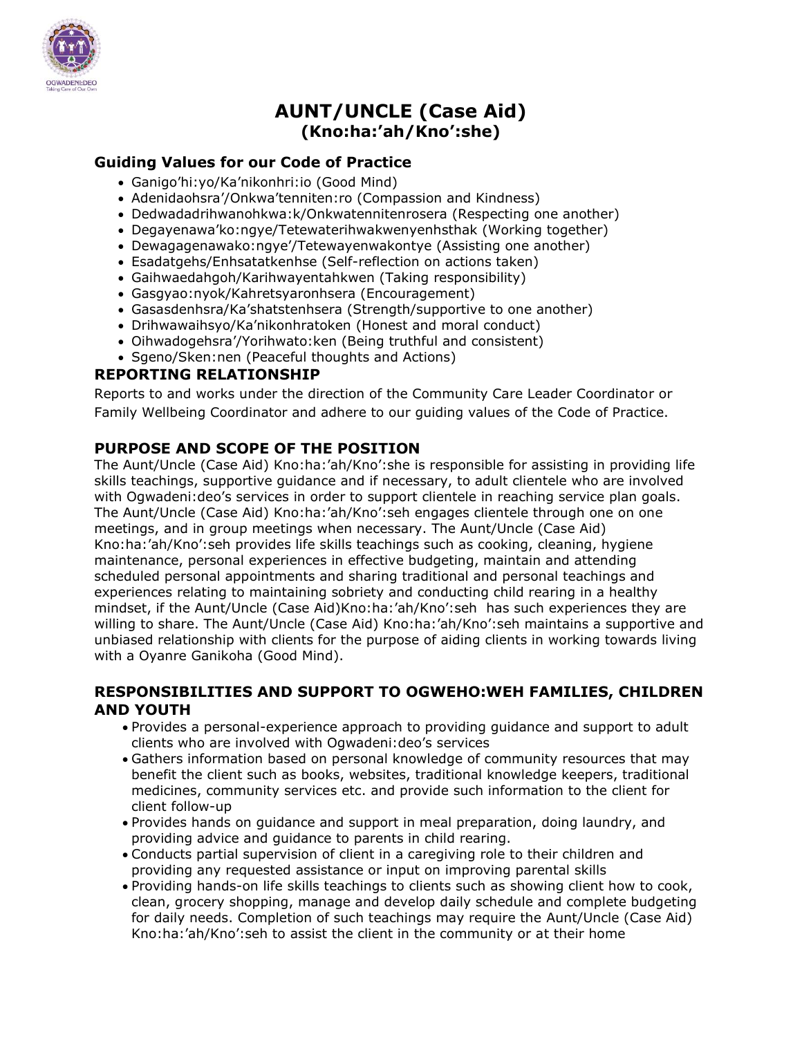

# **AUNT/UNCLE (Case Aid) (Kno:ha:'ah/Kno':she)**

# **Guiding Values for our Code of Practice**

- Ganigo'hi:yo/Ka'nikonhri:io (Good Mind)
- Adenidaohsra'/Onkwa'tenniten:ro (Compassion and Kindness)
- Dedwadadrihwanohkwa:k/Onkwatennitenrosera (Respecting one another)
- Degayenawa'ko:ngye/Tetewaterihwakwenyenhsthak (Working together)
- Dewagagenawako:ngye'/Tetewayenwakontye (Assisting one another)
- Esadatgehs/Enhsatatkenhse (Self-reflection on actions taken)
- Gaihwaedahgoh/Karihwayentahkwen (Taking responsibility)
- Gasgyao:nyok/Kahretsyaronhsera (Encouragement)
- Gasasdenhsra/Ka'shatstenhsera (Strength/supportive to one another)
- Drihwawaihsyo/Ka'nikonhratoken (Honest and moral conduct)
- Oihwadogehsra'/Yorihwato:ken (Being truthful and consistent)
- Sgeno/Sken:nen (Peaceful thoughts and Actions)

### **REPORTING RELATIONSHIP**

Reports to and works under the direction of the Community Care Leader Coordinator or Family Wellbeing Coordinator and adhere to our guiding values of the Code of Practice.

# **PURPOSE AND SCOPE OF THE POSITION**

The Aunt/Uncle (Case Aid) Kno:ha:'ah/Kno':she is responsible for assisting in providing life skills teachings, supportive guidance and if necessary, to adult clientele who are involved with Ogwadeni:deo's services in order to support clientele in reaching service plan goals. The Aunt/Uncle (Case Aid) Kno:ha:'ah/Kno':seh engages clientele through one on one meetings, and in group meetings when necessary. The Aunt/Uncle (Case Aid) Kno:ha:'ah/Kno':seh provides life skills teachings such as cooking, cleaning, hygiene maintenance, personal experiences in effective budgeting, maintain and attending scheduled personal appointments and sharing traditional and personal teachings and experiences relating to maintaining sobriety and conducting child rearing in a healthy mindset, if the Aunt/Uncle (Case Aid)Kno:ha:'ah/Kno':seh has such experiences they are willing to share. The Aunt/Uncle (Case Aid) Kno:ha:'ah/Kno':seh maintains a supportive and unbiased relationship with clients for the purpose of aiding clients in working towards living with a Oyanre Ganikoha (Good Mind).

### **RESPONSIBILITIES AND SUPPORT TO OGWEHO:WEH FAMILIES, CHILDREN AND YOUTH**

- Provides a personal-experience approach to providing guidance and support to adult clients who are involved with Ogwadeni:deo's services
- Gathers information based on personal knowledge of community resources that may benefit the client such as books, websites, traditional knowledge keepers, traditional medicines, community services etc. and provide such information to the client for client follow-up
- Provides hands on guidance and support in meal preparation, doing laundry, and providing advice and guidance to parents in child rearing.
- Conducts partial supervision of client in a caregiving role to their children and providing any requested assistance or input on improving parental skills
- Providing hands-on life skills teachings to clients such as showing client how to cook, clean, grocery shopping, manage and develop daily schedule and complete budgeting for daily needs. Completion of such teachings may require the Aunt/Uncle (Case Aid) Kno:ha:'ah/Kno':seh to assist the client in the community or at their home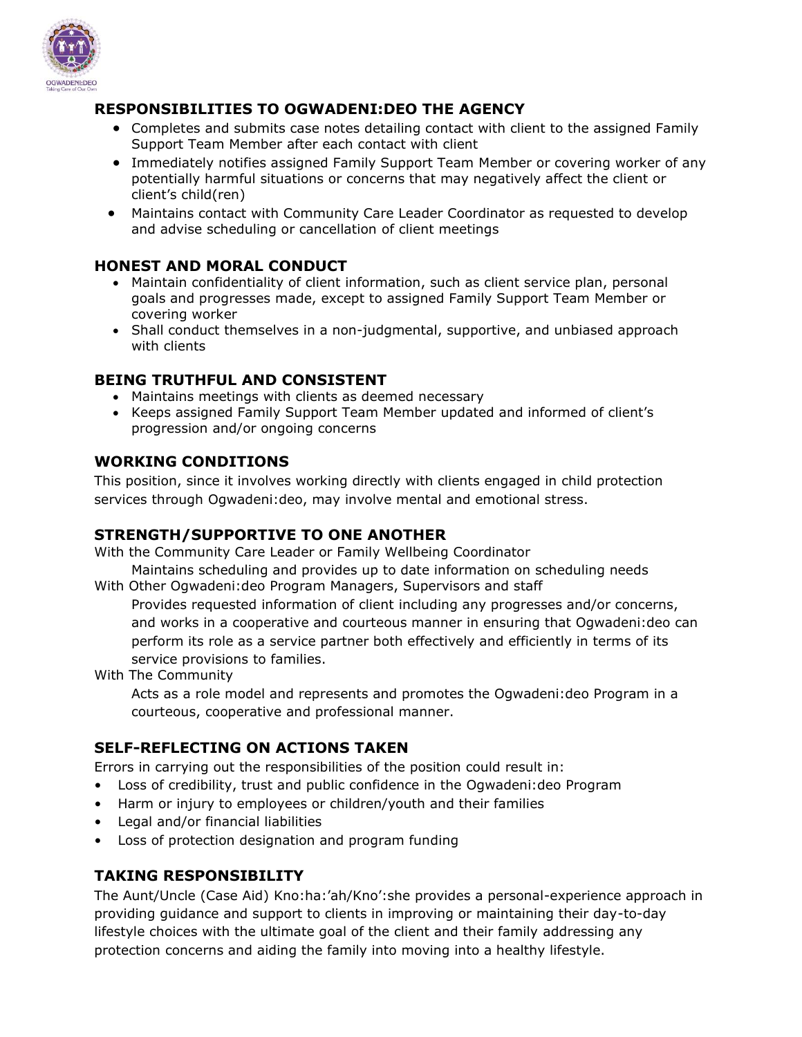

# **RESPONSIBILITIES TO OGWADENI:DEO THE AGENCY**

- Completes and submits case notes detailing contact with client to the assigned Family Support Team Member after each contact with client
- Immediately notifies assigned Family Support Team Member or covering worker of any potentially harmful situations or concerns that may negatively affect the client or client's child(ren)
- Maintains contact with Community Care Leader Coordinator as requested to develop and advise scheduling or cancellation of client meetings

### **HONEST AND MORAL CONDUCT**

- Maintain confidentiality of client information, such as client service plan, personal goals and progresses made, except to assigned Family Support Team Member or covering worker
- Shall conduct themselves in a non-judgmental, supportive, and unbiased approach with clients

# **BEING TRUTHFUL AND CONSISTENT**

- Maintains meetings with clients as deemed necessary
- Keeps assigned Family Support Team Member updated and informed of client's progression and/or ongoing concerns

### **WORKING CONDITIONS**

This position, since it involves working directly with clients engaged in child protection services through Ogwadeni:deo, may involve mental and emotional stress.

# **STRENGTH/SUPPORTIVE TO ONE ANOTHER**

With the Community Care Leader or Family Wellbeing Coordinator

Maintains scheduling and provides up to date information on scheduling needs With Other Ogwadeni:deo Program Managers, Supervisors and staff

Provides requested information of client including any progresses and/or concerns, and works in a cooperative and courteous manner in ensuring that Ogwadeni:deo can perform its role as a service partner both effectively and efficiently in terms of its service provisions to families.

With The Community

Acts as a role model and represents and promotes the Ogwadeni:deo Program in a courteous, cooperative and professional manner.

# **SELF-REFLECTING ON ACTIONS TAKEN**

Errors in carrying out the responsibilities of the position could result in:

- Loss of credibility, trust and public confidence in the Ogwadeni:deo Program
- Harm or injury to employees or children/youth and their families
- Legal and/or financial liabilities
- Loss of protection designation and program funding

# **TAKING RESPONSIBILITY**

The Aunt/Uncle (Case Aid) Kno:ha:'ah/Kno':she provides a personal-experience approach in providing guidance and support to clients in improving or maintaining their day-to-day lifestyle choices with the ultimate goal of the client and their family addressing any protection concerns and aiding the family into moving into a healthy lifestyle.